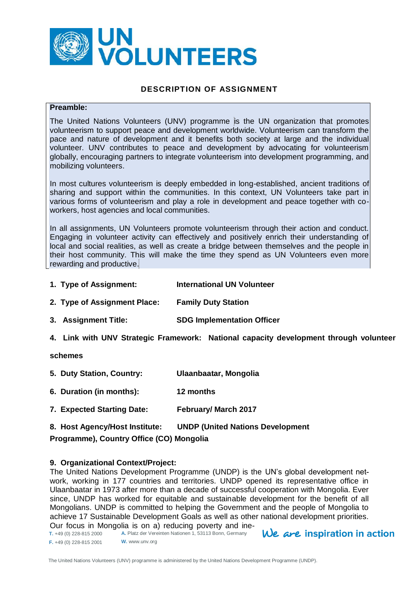

### **DESCRIPTION OF ASSIGNMENT**

#### **Preamble:**

The United Nations Volunteers (UNV) programme is the UN organization that promotes volunteerism to support peace and development worldwide. Volunteerism can transform the pace and nature of development and it benefits both society at large and the individual volunteer. UNV contributes to peace and development by advocating for volunteerism globally, encouraging partners to integrate volunteerism into development programming, and mobilizing volunteers.

In most cultures volunteerism is deeply embedded in long-established, ancient traditions of sharing and support within the communities. In this context, UN Volunteers take part in various forms of volunteerism and play a role in development and peace together with coworkers, host agencies and local communities.

In all assignments, UN Volunteers promote volunteerism through their action and conduct. Engaging in volunteer activity can effectively and positively enrich their understanding of local and social realities, as well as create a bridge between themselves and the people in their host community. This will make the time they spend as UN Volunteers even more rewarding and productive.

- **1. Type of Assignment: International UN Volunteer**
- **2. Type of Assignment Place: Family Duty Station**
- **3. Assignment Title: SDG Implementation Officer**
- **4. Link with UNV Strategic Framework: National capacity development through volunteer**

#### **schemes**

- **5. Duty Station, Country: Ulaanbaatar, Mongolia**
- **6. Duration (in months): 12 months**
- **7. Expected Starting Date: February/ March 2017**

# **8. Host Agency/Host Institute: UNDP (United Nations Development Programme), Country Office (CO) Mongolia**

#### **9. Organizational Context/Project:**

The United Nations Development Programme (UNDP) is the UN's global development network, working in 177 countries and territories. UNDP opened its representative office in Ulaanbaatar in 1973 after more than a decade of successful cooperation with Mongolia. Ever since, UNDP has worked for equitable and sustainable development for the benefit of all Mongolians. UNDP is committed to helping the Government and the people of Mongolia to achieve 17 Sustainable Development Goals as well as other national development priorities. Our focus in Mongolia is on a) reducing poverty and ine-

**T.** +49 (0) 228-815 2000 **F.** +49 (0) 228-815 2001 **A.** Platz der Vereinten Nationen 1, 53113 Bonn, Germany **W.** www.unv.org

 $We$  are inspiration in action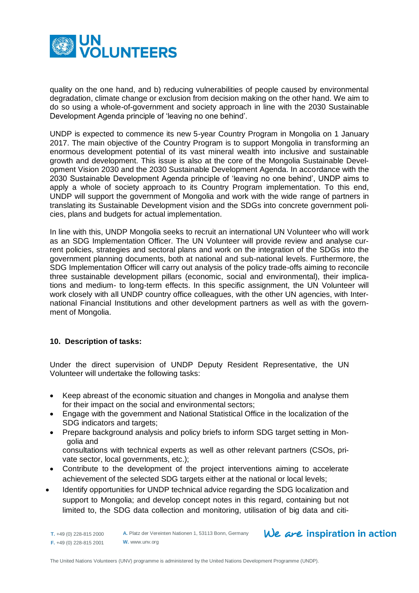

quality on the one hand, and b) reducing vulnerabilities of people caused by environmental degradation, climate change or exclusion from decision making on the other hand. We aim to do so using a whole-of-government and society approach in line with the 2030 Sustainable Development Agenda principle of 'leaving no one behind'.

UNDP is expected to commence its new 5-year Country Program in Mongolia on 1 January 2017. The main objective of the Country Program is to support Mongolia in transforming an enormous development potential of its vast mineral wealth into inclusive and sustainable growth and development. This issue is also at the core of the Mongolia Sustainable Development Vision 2030 and the 2030 Sustainable Development Agenda. In accordance with the 2030 Sustainable Development Agenda principle of 'leaving no one behind', UNDP aims to apply a whole of society approach to its Country Program implementation. To this end, UNDP will support the government of Mongolia and work with the wide range of partners in translating its Sustainable Development vision and the SDGs into concrete government policies, plans and budgets for actual implementation.

In line with this, UNDP Mongolia seeks to recruit an international UN Volunteer who will work as an SDG Implementation Officer. The UN Volunteer will provide review and analyse current policies, strategies and sectoral plans and work on the integration of the SDGs into the government planning documents, both at national and sub-national levels. Furthermore, the SDG Implementation Officer will carry out analysis of the policy trade-offs aiming to reconcile three sustainable development pillars (economic, social and environmental), their implications and medium- to long-term effects. In this specific assignment, the UN Volunteer will work closely with all UNDP country office colleagues, with the other UN agencies, with International Financial Institutions and other development partners as well as with the government of Mongolia.

## **10. Description of tasks:**

Under the direct supervision of UNDP Deputy Resident Representative, the UN Volunteer will undertake the following tasks:

- Keep abreast of the economic situation and changes in Mongolia and analyse them for their impact on the social and environmental sectors;
- Engage with the government and National Statistical Office in the localization of the SDG indicators and targets;
- Prepare background analysis and policy briefs to inform SDG target setting in Mongolia and

consultations with technical experts as well as other relevant partners (CSOs, private sector, local governments, etc.);

- Contribute to the development of the project interventions aiming to accelerate achievement of the selected SDG targets either at the national or local levels;
- Identify opportunities for UNDP technical advice regarding the SDG localization and support to Mongolia; and develop concept notes in this regard, containing but not limited to, the SDG data collection and monitoring, utilisation of big data and citi-

**T.** +49 (0) 228-815 2000 **F.** +49 (0) 228-815 2001

# We are inspiration in action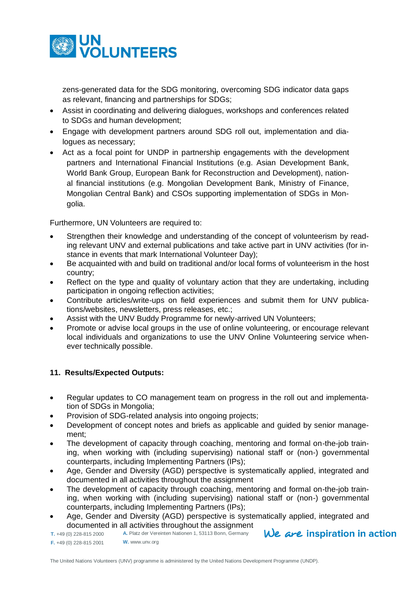

zens-generated data for the SDG monitoring, overcoming SDG indicator data gaps as relevant, financing and partnerships for SDGs;

- Assist in coordinating and delivering dialogues, workshops and conferences related to SDGs and human development;
- Engage with development partners around SDG roll out, implementation and dialogues as necessary;
- Act as a focal point for UNDP in partnership engagements with the development partners and International Financial Institutions (e.g. Asian Development Bank, World Bank Group, European Bank for Reconstruction and Development), national financial institutions (e.g. Mongolian Development Bank, Ministry of Finance, Mongolian Central Bank) and CSOs supporting implementation of SDGs in Mongolia.

Furthermore, UN Volunteers are required to:

- Strengthen their knowledge and understanding of the concept of volunteerism by reading relevant UNV and external publications and take active part in UNV activities (for instance in events that mark International Volunteer Day);
- Be acquainted with and build on traditional and/or local forms of volunteerism in the host country;
- Reflect on the type and quality of voluntary action that they are undertaking, including participation in ongoing reflection activities;
- Contribute articles/write-ups on field experiences and submit them for UNV publications/websites, newsletters, press releases, etc.;
- Assist with the UNV Buddy Programme for newly-arrived UN Volunteers;
- Promote or advise local groups in the use of online volunteering, or encourage relevant local individuals and organizations to use the UNV Online Volunteering service whenever technically possible.

# **11. Results/Expected Outputs:**

- Regular updates to CO management team on progress in the roll out and implementation of SDGs in Mongolia;
- Provision of SDG-related analysis into ongoing projects;
- Development of concept notes and briefs as applicable and guided by senior management;
- The development of capacity through coaching, mentoring and formal on-the-job training, when working with (including supervising) national staff or (non-) governmental counterparts, including Implementing Partners (IPs);
- Age, Gender and Diversity (AGD) perspective is systematically applied, integrated and documented in all activities throughout the assignment
- The development of capacity through coaching, mentoring and formal on-the-job training, when working with (including supervising) national staff or (non-) governmental counterparts, including Implementing Partners (IPs);
- Age, Gender and Diversity (AGD) perspective is systematically applied, integrated and documented in all activities throughout the assignment
- We are inspiration in action **A.** Platz der Vereinten Nationen 1, 53113 Bonn, Germany **T.** +49 (0) 228-815 2000 **F.** +49 (0) 228-815 2001 **W.** www.unv.org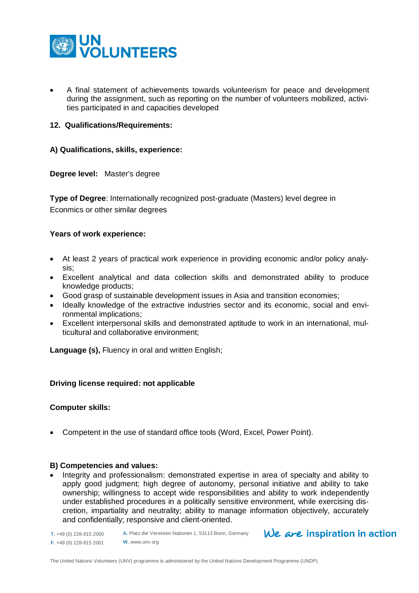

 A final statement of achievements towards volunteerism for peace and development during the assignment, such as reporting on the number of volunteers mobilized, activities participated in and capacities developed

#### **12. Qualifications/Requirements:**

#### **A) Qualifications, skills, experience:**

**Degree level:** Master's degree

**Type of Degree:** Internationally recognized post-graduate (Masters) level degree in Econmics or other similar degrees

#### **Years of work experience:**

- At least 2 years of practical work experience in providing economic and/or policy analysis;
- Excellent analytical and data collection skills and demonstrated ability to produce knowledge products;
- Good grasp of sustainable development issues in Asia and transition economies;
- Ideally knowledge of the extractive industries sector and its economic, social and environmental implications;
- Excellent interpersonal skills and demonstrated aptitude to work in an international, multicultural and collaborative environment;

**Language (s),** Fluency in oral and written English;

#### **Driving license required: not applicable**

#### **Computer skills:**

Competent in the use of standard office tools (Word, Excel, Power Point).

#### **B) Competencies and values:**

• Integrity and professionalism: demonstrated expertise in area of specialty and ability to apply good judgment; high degree of autonomy, personal initiative and ability to take ownership; willingness to accept wide responsibilities and ability to work independently under established procedures in a politically sensitive environment, while exercising discretion, impartiality and neutrality; ability to manage information objectively, accurately and confidentially; responsive and client-oriented.

**T.** +49 (0) 228-815 2000 **F.** +49 (0) 228-815 2001 **A.** Platz der Vereinten Nationen 1, 53113 Bonn, Germany **W.** www.unv.org

# We are inspiration in action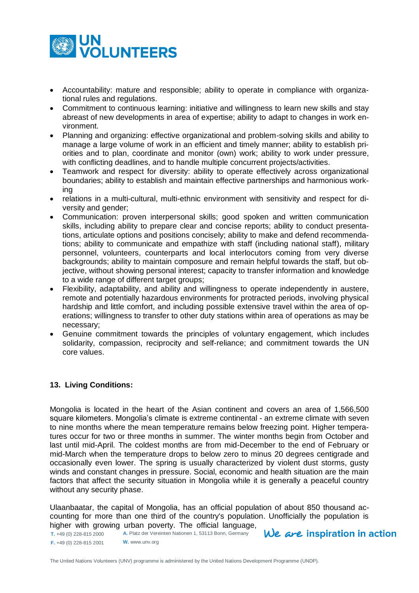

- Accountability: mature and responsible; ability to operate in compliance with organizational rules and regulations.
- Commitment to continuous learning: initiative and willingness to learn new skills and stay abreast of new developments in area of expertise; ability to adapt to changes in work environment.
- Planning and organizing: effective organizational and problem-solving skills and ability to manage a large volume of work in an efficient and timely manner; ability to establish priorities and to plan, coordinate and monitor (own) work; ability to work under pressure, with conflicting deadlines, and to handle multiple concurrent projects/activities.
- Teamwork and respect for diversity: ability to operate effectively across organizational boundaries; ability to establish and maintain effective partnerships and harmonious working
- relations in a multi-cultural, multi-ethnic environment with sensitivity and respect for diversity and gender;
- Communication: proven interpersonal skills; good spoken and written communication skills, including ability to prepare clear and concise reports; ability to conduct presentations, articulate options and positions concisely; ability to make and defend recommendations; ability to communicate and empathize with staff (including national staff), military personnel, volunteers, counterparts and local interlocutors coming from very diverse backgrounds; ability to maintain composure and remain helpful towards the staff, but objective, without showing personal interest; capacity to transfer information and knowledge to a wide range of different target groups;
- Flexibility, adaptability, and ability and willingness to operate independently in austere, remote and potentially hazardous environments for protracted periods, involving physical hardship and little comfort, and including possible extensive travel within the area of operations; willingness to transfer to other duty stations within area of operations as may be necessary;
- Genuine commitment towards the principles of voluntary engagement, which includes solidarity, compassion, reciprocity and self-reliance; and commitment towards the UN core values.

## **13. Living Conditions:**

Mongolia is located in the heart of the Asian continent and covers an area of 1,566,500 square kilometers. Mongolia's climate is extreme continental - an extreme climate with seven to nine months where the mean temperature remains below freezing point. Higher temperatures occur for two or three months in summer. The winter months begin from October and last until mid-April. The coldest months are from mid-December to the end of February or mid-March when the temperature drops to below zero to minus 20 degrees centigrade and occasionally even lower. The spring is usually characterized by violent dust storms, gusty winds and constant changes in pressure. Social, economic and health situation are the main factors that affect the security situation in Mongolia while it is generally a peaceful country without any security phase.

Ulaanbaatar, the capital of Mongolia, has an official population of about 850 thousand accounting for more than one third of the country's population. Unofficially the population is higher with growing urban poverty. The official language,

**T.** +49 (0) 228-815 2000 **F.** +49 (0) 228-815 2001 **A.** Platz der Vereinten Nationen 1, 53113 Bonn, Germany **W.** www.unv.org

 $We$  are inspiration in action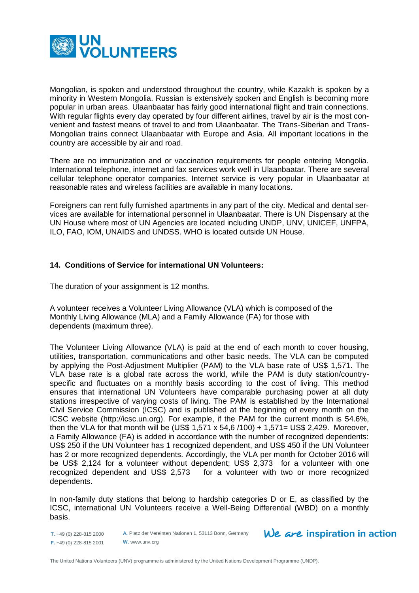

Mongolian, is spoken and understood throughout the country, while Kazakh is spoken by a minority in Western Mongolia. Russian is extensively spoken and English is becoming more popular in urban areas. Ulaanbaatar has fairly good international flight and train connections. With regular flights every day operated by four different airlines, travel by air is the most convenient and fastest means of travel to and from Ulaanbaatar. The Trans-Siberian and Trans-Mongolian trains connect Ulaanbaatar with Europe and Asia. All important locations in the country are accessible by air and road.

There are no immunization and or vaccination requirements for people entering Mongolia. International telephone, internet and fax services work well in Ulaanbaatar. There are several cellular telephone operator companies. Internet service is very popular in Ulaanbaatar at reasonable rates and wireless facilities are available in many locations.

Foreigners can rent fully furnished apartments in any part of the city. Medical and dental services are available for international personnel in Ulaanbaatar. There is UN Dispensary at the UN House where most of UN Agencies are located including UNDP, UNV, UNICEF, UNFPA, ILO, FAO, IOM, UNAIDS and UNDSS. WHO is located outside UN House.

## **14. Conditions of Service for international UN Volunteers:**

The duration of your assignment is 12 months.

A volunteer receives a Volunteer Living Allowance (VLA) which is composed of the Monthly Living Allowance (MLA) and a Family Allowance (FA) for those with dependents (maximum three).

The Volunteer Living Allowance (VLA) is paid at the end of each month to cover housing, utilities, transportation, communications and other basic needs. The VLA can be computed by applying the Post-Adjustment Multiplier (PAM) to the VLA base rate of US\$ 1,571. The VLA base rate is a global rate across the world, while the PAM is duty station/countryspecific and fluctuates on a monthly basis according to the cost of living. This method ensures that international UN Volunteers have comparable purchasing power at all duty stations irrespective of varying costs of living. The PAM is established by the International Civil Service Commission (ICSC) and is published at the beginning of every month on the ICSC website [\(http://icsc.un.org\)](http://icsc.un.org/). For example, if the PAM for the current month is 54.6%, then the VLA for that month will be (US\$ 1,571 x 54,6 /100) + 1,571= US\$ 2,429. Moreover, a Family Allowance (FA) is added in accordance with the number of recognized dependents: US\$ 250 if the UN Volunteer has 1 recognized dependent, and US\$ 450 if the UN Volunteer has 2 or more recognized dependents. Accordingly, the VLA per month for October 2016 will be US\$ 2,124 for a volunteer without dependent; US\$ 2,373 for a volunteer with one recognized dependent and US\$ 2,573 for a volunteer with two or more recognized dependents.

In non-family duty stations that belong to hardship categories D or E, as classified by the ICSC, international UN Volunteers receive a Well-Being Differential (WBD) on a monthly basis.

**T.** +49 (0) 228-815 2000 **F.** +49 (0) 228-815 2001 **A.** Platz der Vereinten Nationen 1, 53113 Bonn, Germany **W.** www.unv.org

We are inspiration in action